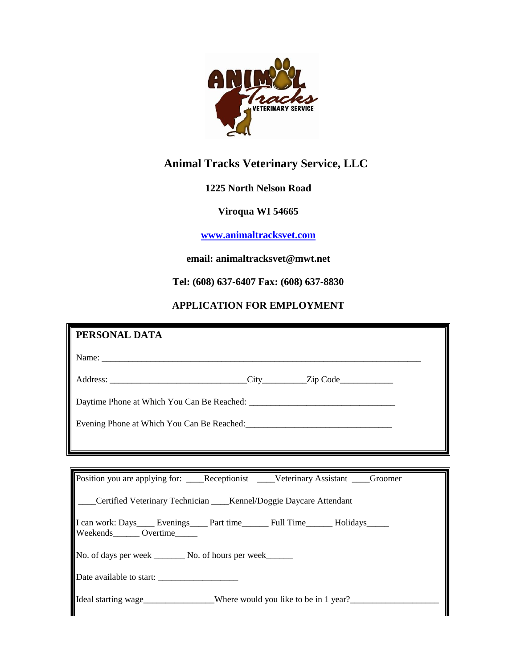

# **Animal Tracks Veterinary Service, LLC**

# **1225 North Nelson Road**

# **Viroqua WI 54665**

# **[www.animaltracksvet.com](http://www.animaltracksvet.com/)**

#### **email: animaltracksvet@mwt.net**

**Tel: (608) 637-6407 Fax: (608) 637-8830**

# **APPLICATION FOR EMPLOYMENT**

| PERSONAL DATA                                                                                                                 |
|-------------------------------------------------------------------------------------------------------------------------------|
|                                                                                                                               |
|                                                                                                                               |
|                                                                                                                               |
|                                                                                                                               |
|                                                                                                                               |
|                                                                                                                               |
| Position you are applying for: ____Receptionist ____Veterinary Assistant ___Groomer                                           |
| ___Certified Veterinary Technician ____Kennel/Doggie Daycare Attendant                                                        |
| I can work: Days______ Evenings______ Part time_________ Full Time_________ Holidays_______<br>Weekends_______ Overtime______ |
| No. of days per week _________ No. of hours per week_______                                                                   |
|                                                                                                                               |
| Ideal starting wage _____________Where would you like to be in 1 year?__________                                              |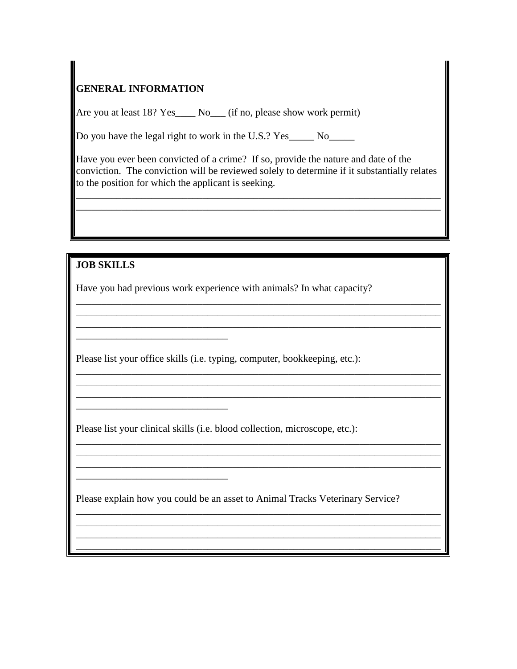# **GENERAL INFORMATION**

Are you at least 18? Yes\_\_\_\_ No\_\_\_ (if no, please show work permit)

Do you have the legal right to work in the U.S.? Yes\_\_\_\_\_ No\_\_\_\_\_

Have you ever been convicted of a crime? If so, provide the nature and date of the conviction. The conviction will be reviewed solely to determine if it substantially relates to the position for which the applicant is seeking.

\_\_\_\_\_\_\_\_\_\_\_\_\_\_\_\_\_\_\_\_\_\_\_\_\_\_\_\_\_\_\_\_\_\_\_\_\_\_\_\_\_\_\_\_\_\_\_\_\_\_\_\_\_\_\_\_\_\_\_\_\_\_\_\_\_\_\_\_\_\_\_\_ \_\_\_\_\_\_\_\_\_\_\_\_\_\_\_\_\_\_\_\_\_\_\_\_\_\_\_\_\_\_\_\_\_\_\_\_\_\_\_\_\_\_\_\_\_\_\_\_\_\_\_\_\_\_\_\_\_\_\_\_\_\_\_\_\_\_\_\_\_\_\_\_

\_\_\_\_\_\_\_\_\_\_\_\_\_\_\_\_\_\_\_\_\_\_\_\_\_\_\_\_\_\_\_\_\_\_\_\_\_\_\_\_\_\_\_\_\_\_\_\_\_\_\_\_\_\_\_\_\_\_\_\_\_\_\_\_\_\_\_\_\_\_\_\_ \_\_\_\_\_\_\_\_\_\_\_\_\_\_\_\_\_\_\_\_\_\_\_\_\_\_\_\_\_\_\_\_\_\_\_\_\_\_\_\_\_\_\_\_\_\_\_\_\_\_\_\_\_\_\_\_\_\_\_\_\_\_\_\_\_\_\_\_\_\_\_\_ \_\_\_\_\_\_\_\_\_\_\_\_\_\_\_\_\_\_\_\_\_\_\_\_\_\_\_\_\_\_\_\_\_\_\_\_\_\_\_\_\_\_\_\_\_\_\_\_\_\_\_\_\_\_\_\_\_\_\_\_\_\_\_\_\_\_\_\_\_\_\_\_

\_\_\_\_\_\_\_\_\_\_\_\_\_\_\_\_\_\_\_\_\_\_\_\_\_\_\_\_\_\_\_\_\_\_\_\_\_\_\_\_\_\_\_\_\_\_\_\_\_\_\_\_\_\_\_\_\_\_\_\_\_\_\_\_\_\_\_\_\_\_\_\_ \_\_\_\_\_\_\_\_\_\_\_\_\_\_\_\_\_\_\_\_\_\_\_\_\_\_\_\_\_\_\_\_\_\_\_\_\_\_\_\_\_\_\_\_\_\_\_\_\_\_\_\_\_\_\_\_\_\_\_\_\_\_\_\_\_\_\_\_\_\_\_\_ \_\_\_\_\_\_\_\_\_\_\_\_\_\_\_\_\_\_\_\_\_\_\_\_\_\_\_\_\_\_\_\_\_\_\_\_\_\_\_\_\_\_\_\_\_\_\_\_\_\_\_\_\_\_\_\_\_\_\_\_\_\_\_\_\_\_\_\_\_\_\_\_

\_\_\_\_\_\_\_\_\_\_\_\_\_\_\_\_\_\_\_\_\_\_\_\_\_\_\_\_\_\_\_\_\_\_\_\_\_\_\_\_\_\_\_\_\_\_\_\_\_\_\_\_\_\_\_\_\_\_\_\_\_\_\_\_\_\_\_\_\_\_\_\_ \_\_\_\_\_\_\_\_\_\_\_\_\_\_\_\_\_\_\_\_\_\_\_\_\_\_\_\_\_\_\_\_\_\_\_\_\_\_\_\_\_\_\_\_\_\_\_\_\_\_\_\_\_\_\_\_\_\_\_\_\_\_\_\_\_\_\_\_\_\_\_\_ \_\_\_\_\_\_\_\_\_\_\_\_\_\_\_\_\_\_\_\_\_\_\_\_\_\_\_\_\_\_\_\_\_\_\_\_\_\_\_\_\_\_\_\_\_\_\_\_\_\_\_\_\_\_\_\_\_\_\_\_\_\_\_\_\_\_\_\_\_\_\_\_

\_\_\_\_\_\_\_\_\_\_\_\_\_\_\_\_\_\_\_\_\_\_\_\_\_\_\_\_\_\_\_\_\_\_\_\_\_\_\_\_\_\_\_\_\_\_\_\_\_\_\_\_\_\_\_\_\_\_\_\_\_\_\_\_\_\_\_\_\_\_\_\_ \_\_\_\_\_\_\_\_\_\_\_\_\_\_\_\_\_\_\_\_\_\_\_\_\_\_\_\_\_\_\_\_\_\_\_\_\_\_\_\_\_\_\_\_\_\_\_\_\_\_\_\_\_\_\_\_\_\_\_\_\_\_\_\_\_\_\_\_\_\_\_\_ \_\_\_\_\_\_\_\_\_\_\_\_\_\_\_\_\_\_\_\_\_\_\_\_\_\_\_\_\_\_\_\_\_\_\_\_\_\_\_\_\_\_\_\_\_\_\_\_\_\_\_\_\_\_\_\_\_\_\_\_\_\_\_\_\_\_\_\_\_\_\_\_ \_\_\_\_\_\_\_\_\_\_\_\_\_\_\_\_\_\_\_\_\_\_\_\_\_\_\_\_\_\_\_\_\_\_\_\_\_\_\_\_\_\_\_\_\_\_\_\_\_\_\_\_\_\_\_\_\_\_\_\_\_\_\_\_\_\_\_\_\_\_\_\_

**JOB SKILLS**

\_\_\_\_\_\_\_\_\_\_\_\_\_\_\_\_\_\_\_\_\_\_\_\_\_\_\_\_\_\_

\_\_\_\_\_\_\_\_\_\_\_\_\_\_\_\_\_\_\_\_\_\_\_\_\_\_\_\_\_\_

\_\_\_\_\_\_\_\_\_\_\_\_\_\_\_\_\_\_\_\_\_\_\_\_\_\_\_\_\_\_

Have you had previous work experience with animals? In what capacity?

Please list your office skills (i.e. typing, computer, bookkeeping, etc.):

Please list your clinical skills (i.e. blood collection, microscope, etc.):

Please explain how you could be an asset to Animal Tracks Veterinary Service?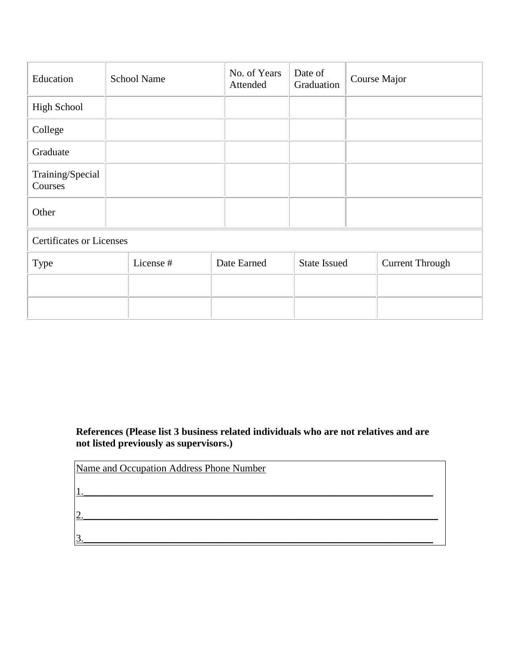| Education                       |  | <b>School Name</b> |  | No. of Years<br>Attended |  | Date of<br>Graduation |  | Course Major           |  |
|---------------------------------|--|--------------------|--|--------------------------|--|-----------------------|--|------------------------|--|
| <b>High School</b>              |  |                    |  |                          |  |                       |  |                        |  |
| College                         |  |                    |  |                          |  |                       |  |                        |  |
| Graduate                        |  |                    |  |                          |  |                       |  |                        |  |
| Training/Special<br>Courses     |  |                    |  |                          |  |                       |  |                        |  |
| Other                           |  |                    |  |                          |  |                       |  |                        |  |
| <b>Certificates or Licenses</b> |  |                    |  |                          |  |                       |  |                        |  |
| Type                            |  | License #          |  | Date Earned              |  | <b>State Issued</b>   |  | <b>Current Through</b> |  |
|                                 |  |                    |  |                          |  |                       |  |                        |  |
|                                 |  |                    |  |                          |  |                       |  |                        |  |

**References (Please list 3 business related individuals who are not relatives and are not listed previously as supervisors.)**

| Name and Occupation Address Phone Number |
|------------------------------------------|
|                                          |
|                                          |
|                                          |
|                                          |
|                                          |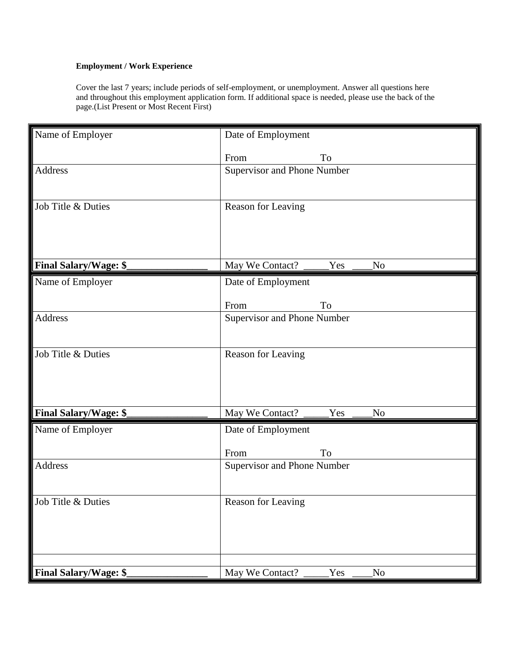#### **Employment / Work Experience**

Cover the last 7 years; include periods of self-employment, or unemployment. Answer all questions here and throughout this employment application form. If additional space is needed, please use the back of the page.(List Present or Most Recent First)

| Name of Employer             | Date of Employment                  |  |  |  |  |  |
|------------------------------|-------------------------------------|--|--|--|--|--|
|                              | To<br>From                          |  |  |  |  |  |
| Address                      | Supervisor and Phone Number         |  |  |  |  |  |
|                              |                                     |  |  |  |  |  |
| Job Title & Duties           | Reason for Leaving                  |  |  |  |  |  |
|                              |                                     |  |  |  |  |  |
|                              |                                     |  |  |  |  |  |
| <b>Final Salary/Wage: \$</b> | May We Contact?<br>Yes<br>No        |  |  |  |  |  |
| Name of Employer             | Date of Employment                  |  |  |  |  |  |
|                              | From<br>To                          |  |  |  |  |  |
| Address                      | Supervisor and Phone Number         |  |  |  |  |  |
|                              |                                     |  |  |  |  |  |
| Job Title & Duties           | Reason for Leaving                  |  |  |  |  |  |
|                              |                                     |  |  |  |  |  |
|                              |                                     |  |  |  |  |  |
| <b>Final Salary/Wage: \$</b> | May We Contact?<br>Yes<br>No        |  |  |  |  |  |
| Name of Employer             | Date of Employment                  |  |  |  |  |  |
|                              | To<br>From                          |  |  |  |  |  |
| Address                      | Supervisor and Phone Number         |  |  |  |  |  |
|                              |                                     |  |  |  |  |  |
| Job Title & Duties           | Reason for Leaving                  |  |  |  |  |  |
|                              |                                     |  |  |  |  |  |
|                              |                                     |  |  |  |  |  |
|                              |                                     |  |  |  |  |  |
| <b>Final Salary/Wage: \$</b> | May We Contact?<br><b>Yes</b><br>No |  |  |  |  |  |